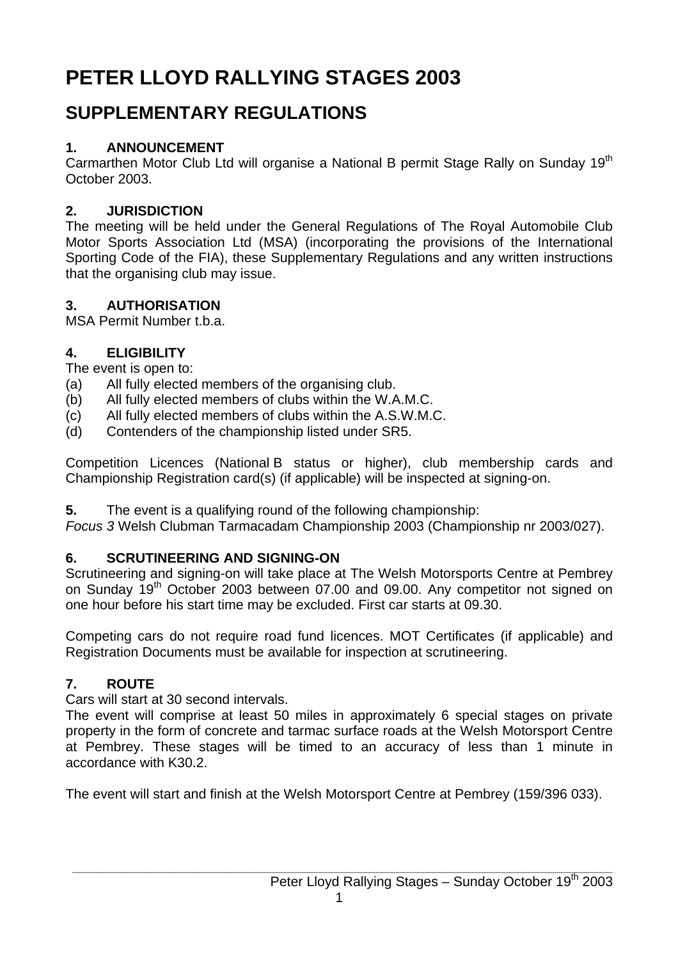# **PETER LLOYD RALLYING STAGES 2003**

## **SUPPLEMENTARY REGULATIONS**

## **1. ANNOUNCEMENT**

Carmarthen Motor Club Ltd will organise a National B permit Stage Rally on Sunday 19<sup>th</sup> October 2003.

## **2. JURISDICTION**

The meeting will be held under the General Regulations of The Royal Automobile Club Motor Sports Association Ltd (MSA) (incorporating the provisions of the International Sporting Code of the FIA), these Supplementary Regulations and any written instructions that the organising club may issue.

## **3. AUTHORISATION**

MSA Permit Number t.b.a.

## **4. ELIGIBILITY**

The event is open to:

- (a) All fully elected members of the organising club.
- (b) All fully elected members of clubs within the W.A.M.C.
- (c) All fully elected members of clubs within the A.S.W.M.C.
- (d) Contenders of the championship listed under SR5.

Competition Licences (National B status or higher), club membership cards and Championship Registration card(s) (if applicable) will be inspected at signing-on.

**5.** The event is a qualifying round of the following championship:

*Focus 3* Welsh Clubman Tarmacadam Championship 2003 (Championship nr 2003/027).

#### **6. SCRUTINEERING AND SIGNING-ON**

Scrutineering and signing-on will take place at The Welsh Motorsports Centre at Pembrey on Sunday 19<sup>th</sup> October 2003 between 07.00 and 09.00. Any competitor not signed on one hour before his start time may be excluded. First car starts at 09.30.

Competing cars do not require road fund licences. MOT Certificates (if applicable) and Registration Documents must be available for inspection at scrutineering.

## **7. ROUTE**

Cars will start at 30 second intervals.

The event will comprise at least 50 miles in approximately 6 special stages on private property in the form of concrete and tarmac surface roads at the Welsh Motorsport Centre at Pembrey. These stages will be timed to an accuracy of less than 1 minute in accordance with K30.2.

The event will start and finish at the Welsh Motorsport Centre at Pembrey (159/396 033).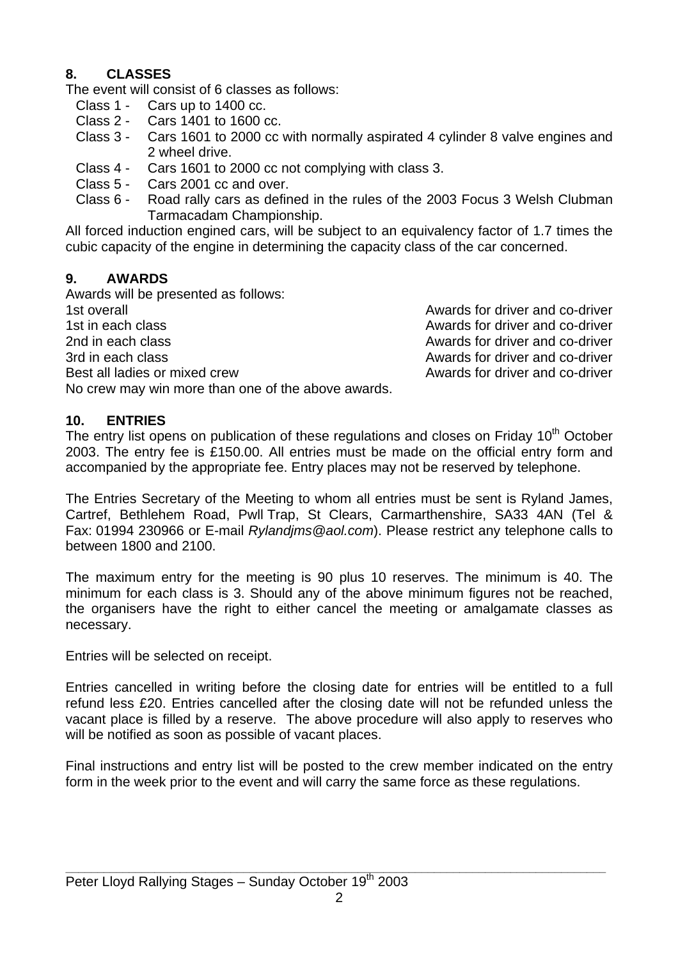#### **8. CLASSES**

The event will consist of 6 classes as follows:

- Class 1 Cars up to 1400 cc.
- Class 2 Cars 1401 to 1600 cc.
- Class 3 Cars 1601 to 2000 cc with normally aspirated 4 cylinder 8 valve engines and 2 wheel drive.
- Class 4 Cars 1601 to 2000 cc not complying with class 3.
- Class 5 Cars 2001 cc and over.
- Class 6 Road rally cars as defined in the rules of the 2003 Focus 3 Welsh Clubman Tarmacadam Championship.

All forced induction engined cars, will be subject to an equivalency factor of 1.7 times the cubic capacity of the engine in determining the capacity class of the car concerned.

#### **9. AWARDS**

Awards will be presented as follows: 1st overall Awards for driver and co-driver 1st in each class **Awards** for driver and co-driver 2nd in each class **Awards** for driver and co-driver 3rd in each class **Awards** for driver and co-driver Best all ladies or mixed crew and co-driver and co-driver No crew may win more than one of the above awards.

#### **10. ENTRIES**

The entry list opens on publication of these regulations and closes on Friday 10<sup>th</sup> October 2003. The entry fee is £150.00. All entries must be made on the official entry form and accompanied by the appropriate fee. Entry places may not be reserved by telephone.

The Entries Secretary of the Meeting to whom all entries must be sent is Ryland James, Cartref, Bethlehem Road, Pwll Trap, St Clears, Carmarthenshire, SA33 4AN (Tel & Fax: 01994 230966 or E-mail *Rylandjms@aol.com*). Please restrict any telephone calls to between 1800 and 2100.

The maximum entry for the meeting is 90 plus 10 reserves. The minimum is 40. The minimum for each class is 3. Should any of the above minimum figures not be reached, the organisers have the right to either cancel the meeting or amalgamate classes as necessary.

Entries will be selected on receipt.

Entries cancelled in writing before the closing date for entries will be entitled to a full refund less £20. Entries cancelled after the closing date will not be refunded unless the vacant place is filled by a reserve. The above procedure will also apply to reserves who will be notified as soon as possible of vacant places.

Final instructions and entry list will be posted to the crew member indicated on the entry form in the week prior to the event and will carry the same force as these regulations.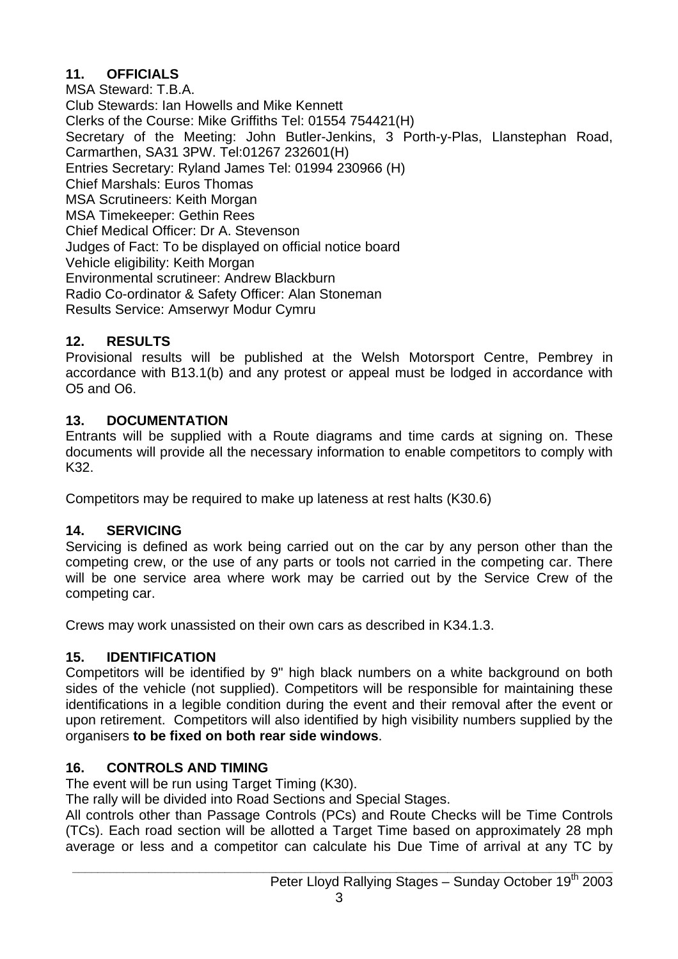#### **11. OFFICIALS**

MSA Steward: T.B.A. Club Stewards: Ian Howells and Mike Kennett Clerks of the Course: Mike Griffiths Tel: 01554 754421(H) Secretary of the Meeting: John Butler-Jenkins, 3 Porth-y-Plas, Llanstephan Road, Carmarthen, SA31 3PW. Tel:01267 232601(H) Entries Secretary: Ryland James Tel: 01994 230966 (H) Chief Marshals: Euros Thomas MSA Scrutineers: Keith Morgan MSA Timekeeper: Gethin Rees Chief Medical Officer: Dr A. Stevenson Judges of Fact: To be displayed on official notice board Vehicle eligibility: Keith Morgan Environmental scrutineer: Andrew Blackburn Radio Co-ordinator & Safety Officer: Alan Stoneman Results Service: Amserwyr Modur Cymru

#### **12. RESULTS**

Provisional results will be published at the Welsh Motorsport Centre, Pembrey in accordance with B13.1(b) and any protest or appeal must be lodged in accordance with O5 and O6.

#### **13. DOCUMENTATION**

Entrants will be supplied with a Route diagrams and time cards at signing on. These documents will provide all the necessary information to enable competitors to comply with K32.

Competitors may be required to make up lateness at rest halts (K30.6)

## **14. SERVICING**

Servicing is defined as work being carried out on the car by any person other than the competing crew, or the use of any parts or tools not carried in the competing car. There will be one service area where work may be carried out by the Service Crew of the competing car.

Crews may work unassisted on their own cars as described in K34.1.3.

## **15. IDENTIFICATION**

Competitors will be identified by 9" high black numbers on a white background on both sides of the vehicle (not supplied). Competitors will be responsible for maintaining these identifications in a legible condition during the event and their removal after the event or upon retirement. Competitors will also identified by high visibility numbers supplied by the organisers **to be fixed on both rear side windows**.

#### **16. CONTROLS AND TIMING**

The event will be run using Target Timing (K30).

The rally will be divided into Road Sections and Special Stages.

All controls other than Passage Controls (PCs) and Route Checks will be Time Controls (TCs). Each road section will be allotted a Target Time based on approximately 28 mph average or less and a competitor can calculate his Due Time of arrival at any TC by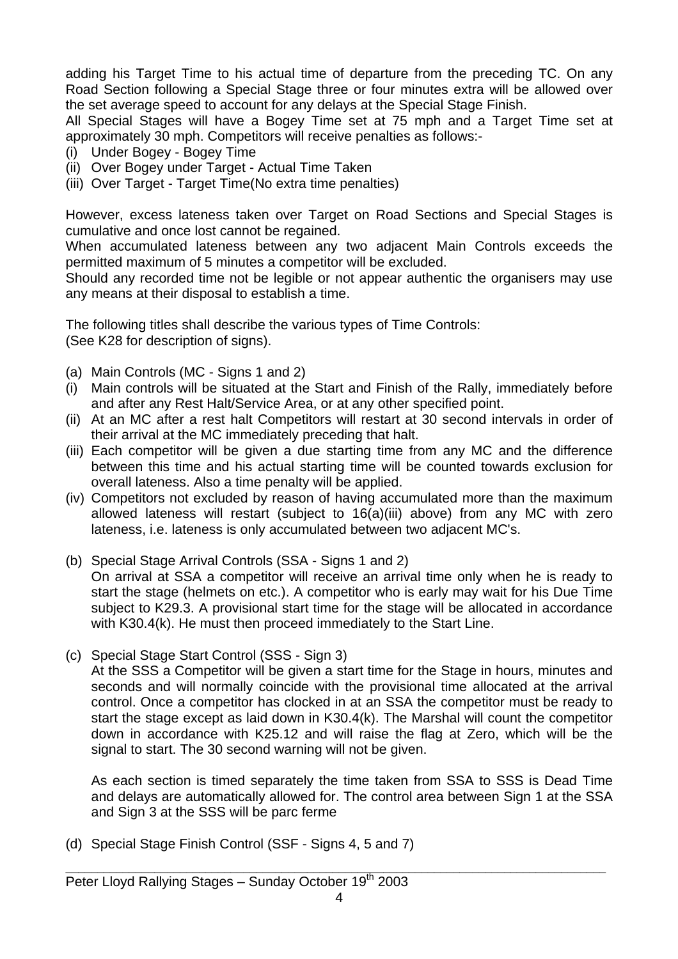adding his Target Time to his actual time of departure from the preceding TC. On any Road Section following a Special Stage three or four minutes extra will be allowed over the set average speed to account for any delays at the Special Stage Finish.

All Special Stages will have a Bogey Time set at 75 mph and a Target Time set at approximately 30 mph. Competitors will receive penalties as follows:-

- (i) Under Bogey Bogey Time
- (ii) Over Bogey under Target Actual Time Taken
- (iii) Over Target Target Time(No extra time penalties)

However, excess lateness taken over Target on Road Sections and Special Stages is cumulative and once lost cannot be regained.

When accumulated lateness between any two adjacent Main Controls exceeds the permitted maximum of 5 minutes a competitor will be excluded.

Should any recorded time not be legible or not appear authentic the organisers may use any means at their disposal to establish a time.

The following titles shall describe the various types of Time Controls: (See K28 for description of signs).

- (a) Main Controls (MC Signs 1 and 2)
- (i) Main controls will be situated at the Start and Finish of the Rally, immediately before and after any Rest Halt/Service Area, or at any other specified point.
- (ii) At an MC after a rest halt Competitors will restart at 30 second intervals in order of their arrival at the MC immediately preceding that halt.
- (iii) Each competitor will be given a due starting time from any MC and the difference between this time and his actual starting time will be counted towards exclusion for overall lateness. Also a time penalty will be applied.
- (iv) Competitors not excluded by reason of having accumulated more than the maximum allowed lateness will restart (subject to 16(a)(iii) above) from any MC with zero lateness, i.e. lateness is only accumulated between two adjacent MC's.
- (b) Special Stage Arrival Controls (SSA Signs 1 and 2) On arrival at SSA a competitor will receive an arrival time only when he is ready to start the stage (helmets on etc.). A competitor who is early may wait for his Due Time subject to K29.3. A provisional start time for the stage will be allocated in accordance with K30.4(k). He must then proceed immediately to the Start Line.
- (c) Special Stage Start Control (SSS Sign 3)

At the SSS a Competitor will be given a start time for the Stage in hours, minutes and seconds and will normally coincide with the provisional time allocated at the arrival control. Once a competitor has clocked in at an SSA the competitor must be ready to start the stage except as laid down in K30.4(k). The Marshal will count the competitor down in accordance with K25.12 and will raise the flag at Zero, which will be the signal to start. The 30 second warning will not be given.

As each section is timed separately the time taken from SSA to SSS is Dead Time and delays are automatically allowed for. The control area between Sign 1 at the SSA and Sign 3 at the SSS will be parc ferme

(d) Special Stage Finish Control (SSF - Signs 4, 5 and 7)

**\_\_\_\_\_\_\_\_\_\_\_\_\_\_\_\_\_\_\_\_\_\_\_\_\_\_\_\_\_\_\_\_\_\_\_\_\_\_\_\_\_\_\_\_\_\_\_\_\_\_\_\_\_\_\_\_\_\_\_\_\_\_\_\_\_\_\_\_\_\_\_\_\_\_\_\_\_\_\_\_\_\_\_\_\_**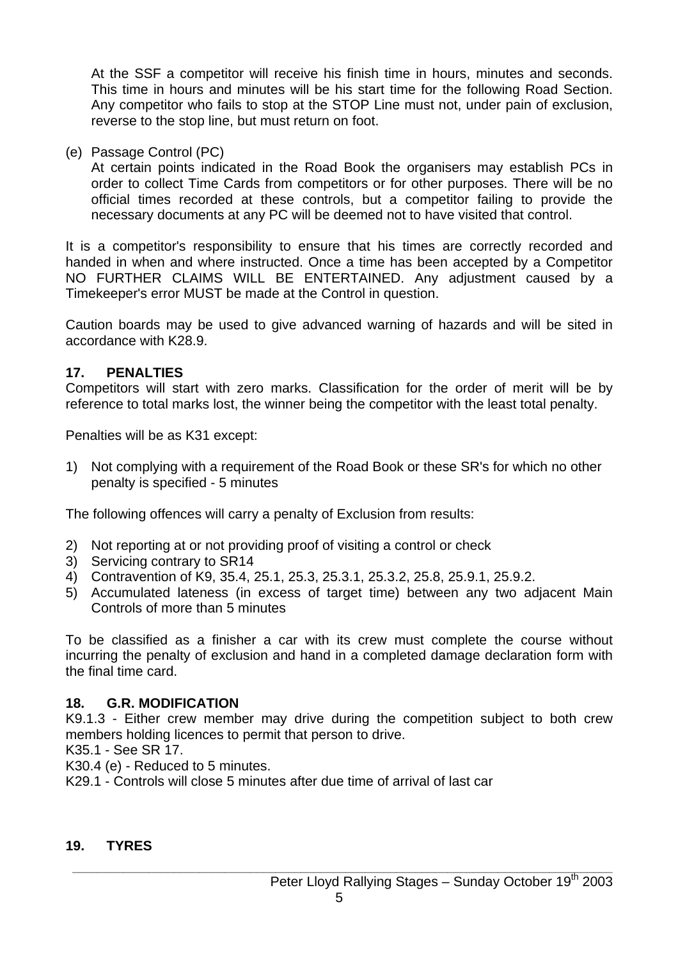At the SSF a competitor will receive his finish time in hours, minutes and seconds. This time in hours and minutes will be his start time for the following Road Section. Any competitor who fails to stop at the STOP Line must not, under pain of exclusion, reverse to the stop line, but must return on foot.

(e) Passage Control (PC)

At certain points indicated in the Road Book the organisers may establish PCs in order to collect Time Cards from competitors or for other purposes. There will be no official times recorded at these controls, but a competitor failing to provide the necessary documents at any PC will be deemed not to have visited that control.

It is a competitor's responsibility to ensure that his times are correctly recorded and handed in when and where instructed. Once a time has been accepted by a Competitor NO FURTHER CLAIMS WILL BE ENTERTAINED. Any adjustment caused by a Timekeeper's error MUST be made at the Control in question.

Caution boards may be used to give advanced warning of hazards and will be sited in accordance with K28.9.

#### **17. PENALTIES**

Competitors will start with zero marks. Classification for the order of merit will be by reference to total marks lost, the winner being the competitor with the least total penalty.

Penalties will be as K31 except:

1) Not complying with a requirement of the Road Book or these SR's for which no other penalty is specified - 5 minutes

The following offences will carry a penalty of Exclusion from results:

- 2) Not reporting at or not providing proof of visiting a control or check
- 3) Servicing contrary to SR14
- 4) Contravention of K9, 35.4, 25.1, 25.3, 25.3.1, 25.3.2, 25.8, 25.9.1, 25.9.2.
- 5) Accumulated lateness (in excess of target time) between any two adjacent Main Controls of more than 5 minutes

To be classified as a finisher a car with its crew must complete the course without incurring the penalty of exclusion and hand in a completed damage declaration form with the final time card.

#### **18. G.R. MODIFICATION**

K9.1.3 - Either crew member may drive during the competition subject to both crew members holding licences to permit that person to drive.

K35.1 - See SR 17.

K30.4 (e) - Reduced to 5 minutes.

K29.1 - Controls will close 5 minutes after due time of arrival of last car

#### **19. TYRES**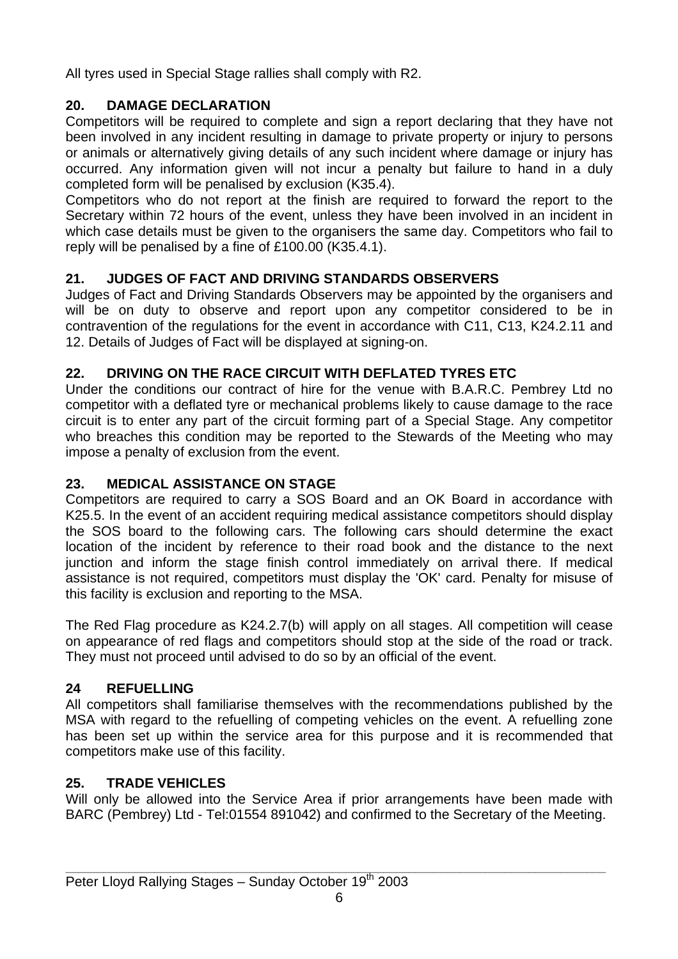All tyres used in Special Stage rallies shall comply with R2.

#### **20. DAMAGE DECLARATION**

Competitors will be required to complete and sign a report declaring that they have not been involved in any incident resulting in damage to private property or injury to persons or animals or alternatively giving details of any such incident where damage or injury has occurred. Any information given will not incur a penalty but failure to hand in a duly completed form will be penalised by exclusion (K35.4).

Competitors who do not report at the finish are required to forward the report to the Secretary within 72 hours of the event, unless they have been involved in an incident in which case details must be given to the organisers the same day. Competitors who fail to reply will be penalised by a fine of £100.00 (K35.4.1).

#### **21. JUDGES OF FACT AND DRIVING STANDARDS OBSERVERS**

Judges of Fact and Driving Standards Observers may be appointed by the organisers and will be on duty to observe and report upon any competitor considered to be in contravention of the regulations for the event in accordance with C11, C13, K24.2.11 and 12. Details of Judges of Fact will be displayed at signing-on.

#### **22. DRIVING ON THE RACE CIRCUIT WITH DEFLATED TYRES ETC**

Under the conditions our contract of hire for the venue with B.A.R.C. Pembrey Ltd no competitor with a deflated tyre or mechanical problems likely to cause damage to the race circuit is to enter any part of the circuit forming part of a Special Stage. Any competitor who breaches this condition may be reported to the Stewards of the Meeting who may impose a penalty of exclusion from the event.

#### **23. MEDICAL ASSISTANCE ON STAGE**

Competitors are required to carry a SOS Board and an OK Board in accordance with K25.5. In the event of an accident requiring medical assistance competitors should display the SOS board to the following cars. The following cars should determine the exact location of the incident by reference to their road book and the distance to the next junction and inform the stage finish control immediately on arrival there. If medical assistance is not required, competitors must display the 'OK' card. Penalty for misuse of this facility is exclusion and reporting to the MSA.

The Red Flag procedure as K24.2.7(b) will apply on all stages. All competition will cease on appearance of red flags and competitors should stop at the side of the road or track. They must not proceed until advised to do so by an official of the event.

#### **24 REFUELLING**

All competitors shall familiarise themselves with the recommendations published by the MSA with regard to the refuelling of competing vehicles on the event. A refuelling zone has been set up within the service area for this purpose and it is recommended that competitors make use of this facility.

#### **25. TRADE VEHICLES**

Will only be allowed into the Service Area if prior arrangements have been made with BARC (Pembrey) Ltd - Tel:01554 891042) and confirmed to the Secretary of the Meeting.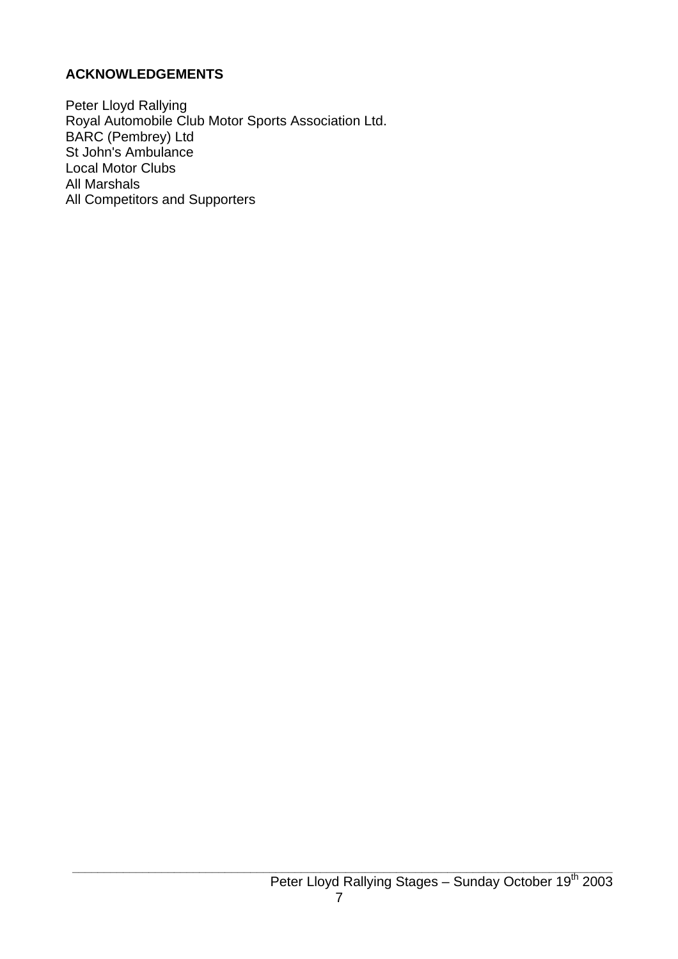#### **ACKNOWLEDGEMENTS**

Peter Lloyd Rallying Royal Automobile Club Motor Sports Association Ltd. BARC (Pembrey) Ltd St John's Ambulance Local Motor Clubs All Marshals All Competitors and Supporters

**\_\_\_\_\_\_\_\_\_\_\_\_\_\_\_\_\_\_\_\_\_\_\_\_\_\_\_\_\_\_\_\_\_\_\_\_\_\_\_\_\_\_\_\_\_\_\_\_\_\_\_\_\_\_\_\_\_\_\_\_\_\_\_\_\_\_\_\_\_\_\_\_\_\_\_\_\_\_\_\_\_\_\_\_\_**